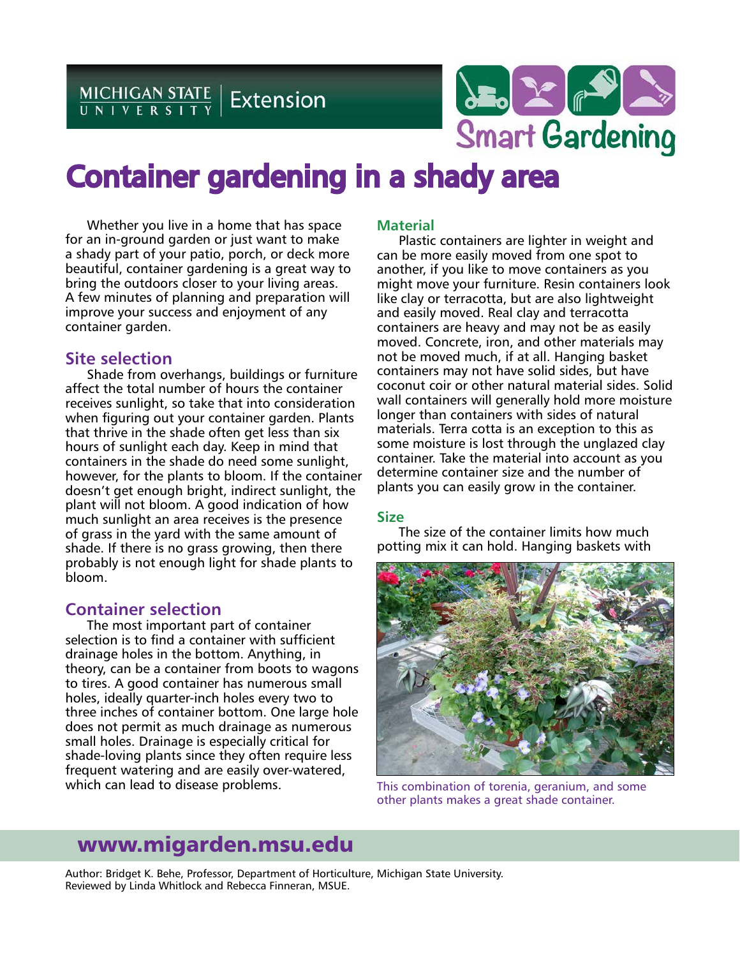MICHIGAN STATE | Extension



# Container gardening in a shady area

Whether you live in a home that has space for an in-ground garden or just want to make a shady part of your patio, porch, or deck more beautiful, container gardening is a great way to bring the outdoors closer to your living areas. A few minutes of planning and preparation will improve your success and enjoyment of any container garden.

# **Site selection**

Shade from overhangs, buildings or furniture affect the total number of hours the container receives sunlight, so take that into consideration when figuring out your container garden. Plants that thrive in the shade often get less than six hours of sunlight each day. Keep in mind that containers in the shade do need some sunlight, however, for the plants to bloom. If the container doesn't get enough bright, indirect sunlight, the plant will not bloom. A good indication of how much sunlight an area receives is the presence of grass in the yard with the same amount of shade. If there is no grass growing, then there probably is not enough light for shade plants to bloom.

# **Container selection**

The most important part of container selection is to find a container with sufficient drainage holes in the bottom. Anything, in theory, can be a container from boots to wagons to tires. A good container has numerous small holes, ideally quarter-inch holes every two to three inches of container bottom. One large hole does not permit as much drainage as numerous small holes. Drainage is especially critical for shade-loving plants since they often require less frequent watering and are easily over-watered, which can lead to disease problems.

# **Material**

Plastic containers are lighter in weight and can be more easily moved from one spot to another, if you like to move containers as you might move your furniture. Resin containers look like clay or terracotta, but are also lightweight and easily moved. Real clay and terracotta containers are heavy and may not be as easily moved. Concrete, iron, and other materials may not be moved much, if at all. Hanging basket containers may not have solid sides, but have coconut coir or other natural material sides. Solid wall containers will generally hold more moisture longer than containers with sides of natural materials. Terra cotta is an exception to this as some moisture is lost through the unglazed clay container. Take the material into account as you determine container size and the number of plants you can easily grow in the container.

## **Size**

The size of the container limits how much potting mix it can hold. Hanging baskets with



This combination of torenia, geranium, and some other plants makes a great shade container.

# www.migarden.msu.edu

Author: Bridget K. Behe, Professor, Department of Horticulture, Michigan State University. Reviewed by Linda Whitlock and Rebecca Finneran, MSUE.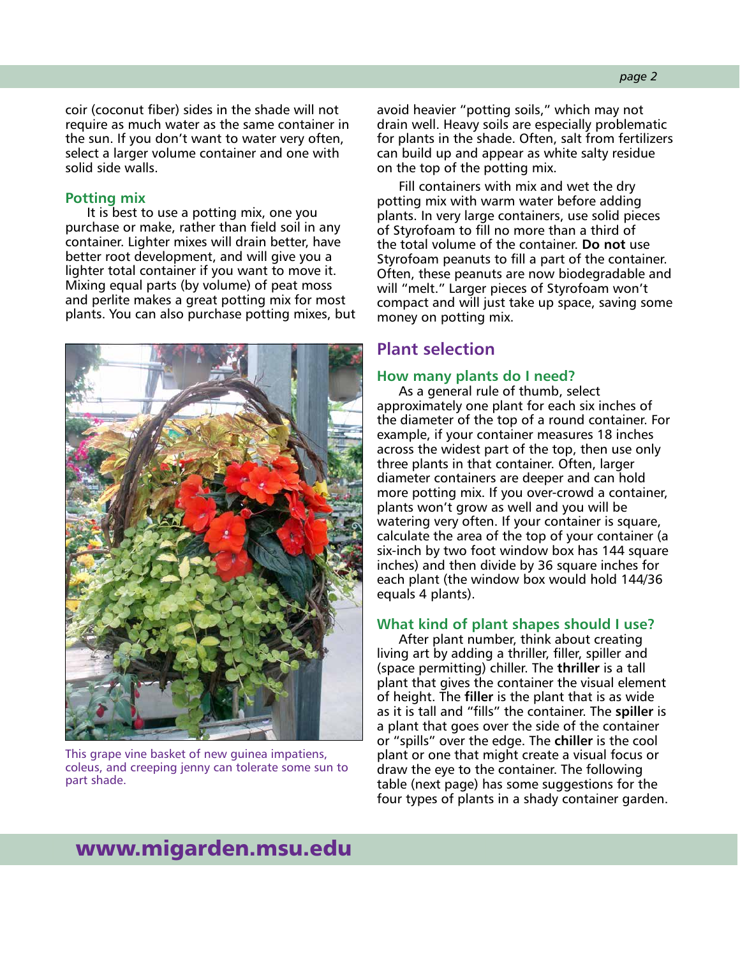coir (coconut fiber) sides in the shade will not require as much water as the same container in the sun. If you don't want to water very often, select a larger volume container and one with solid side walls.

#### **Potting mix**

It is best to use a potting mix, one you purchase or make, rather than field soil in any container. Lighter mixes will drain better, have better root development, and will give you a lighter total container if you want to move it. Mixing equal parts (by volume) of peat moss and perlite makes a great potting mix for most plants. You can also purchase potting mixes, but



This grape vine basket of new guinea impatiens, coleus, and creeping jenny can tolerate some sun to part shade.

avoid heavier "potting soils," which may not drain well. Heavy soils are especially problematic for plants in the shade. Often, salt from fertilizers can build up and appear as white salty residue on the top of the potting mix.

Fill containers with mix and wet the dry potting mix with warm water before adding plants. In very large containers, use solid pieces of Styrofoam to fill no more than a third of the total volume of the container. **Do not** use Styrofoam peanuts to fill a part of the container. Often, these peanuts are now biodegradable and will "melt." Larger pieces of Styrofoam won't compact and will just take up space, saving some money on potting mix.

# **Plant selection**

#### **How many plants do I need?**

As a general rule of thumb, select approximately one plant for each six inches of the diameter of the top of a round container. For example, if your container measures 18 inches across the widest part of the top, then use only three plants in that container. Often, larger diameter containers are deeper and can hold more potting mix. If you over-crowd a container, plants won't grow as well and you will be watering very often. If your container is square, calculate the area of the top of your container (a six-inch by two foot window box has 144 square inches) and then divide by 36 square inches for each plant (the window box would hold 144/36 equals 4 plants).

#### **What kind of plant shapes should I use?**

After plant number, think about creating living art by adding a thriller, filler, spiller and (space permitting) chiller. The **thriller** is a tall plant that gives the container the visual element of height. The **filler** is the plant that is as wide as it is tall and "fills" the container. The **spiller** is a plant that goes over the side of the container or "spills" over the edge. The **chiller** is the cool plant or one that might create a visual focus or draw the eye to the container. The following table (next page) has some suggestions for the four types of plants in a shady container garden.

# www.migarden.msu.edu